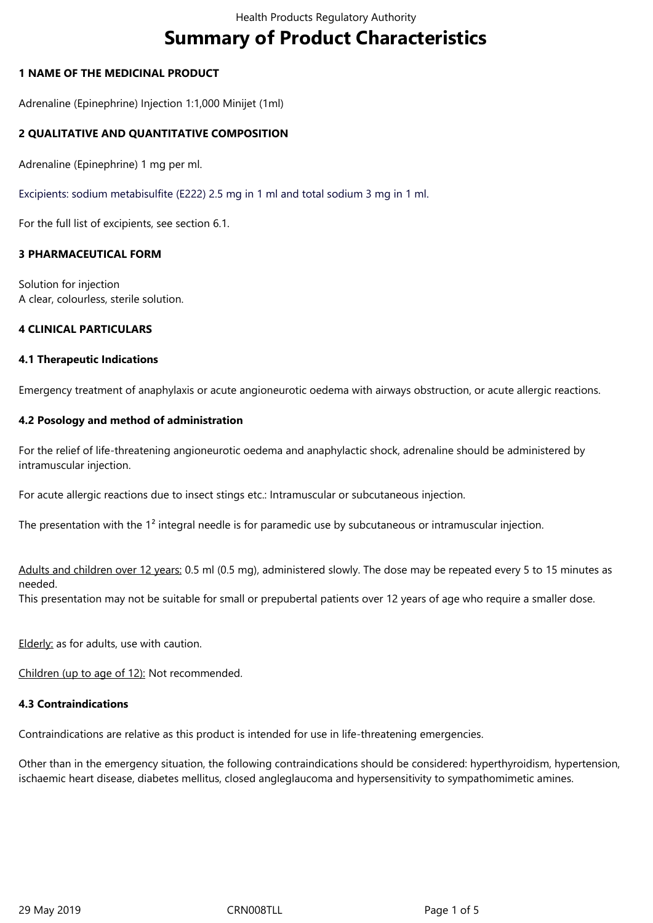# **Summary of Product Characteristics**

## **1 NAME OF THE MEDICINAL PRODUCT**

Adrenaline (Epinephrine) Injection 1:1,000 Minijet (1ml)

## **2 QUALITATIVE AND QUANTITATIVE COMPOSITION**

Adrenaline (Epinephrine) 1 mg per ml.

Excipients: sodium metabisulfite (E222) 2.5 mg in 1 ml and total sodium 3 mg in 1 ml.

For the full list of excipients, see section 6.1.

## **3 PHARMACEUTICAL FORM**

Solution for injection A clear, colourless, sterile solution.

## **4 CLINICAL PARTICULARS**

## **4.1 Therapeutic Indications**

Emergency treatment of anaphylaxis or acute angioneurotic oedema with airways obstruction, or acute allergic reactions.

## **4.2 Posology and method of administration**

For the relief of life-threatening angioneurotic oedema and anaphylactic shock, adrenaline should be administered by intramuscular injection.

For acute allergic reactions due to insect stings etc.: Intramuscular or subcutaneous injection.

The presentation with the 1<sup>2</sup> integral needle is for paramedic use by subcutaneous or intramuscular injection.

Adults and children over 12 years: 0.5 ml (0.5 mg), administered slowly. The dose may be repeated every 5 to 15 minutes as needed.

This presentation may not be suitable for small or prepubertal patients over 12 years of age who require a smaller dose.

Elderly: as for adults, use with caution.

Children (up to age of 12): Not recommended.

## **4.3 Contraindications**

Contraindications are relative as this product is intended for use in life-threatening emergencies.

Other than in the emergency situation, the following contraindications should be considered: hyperthyroidism, hypertension, ischaemic heart disease, diabetes mellitus, closed angleglaucoma and hypersensitivity to sympathomimetic amines.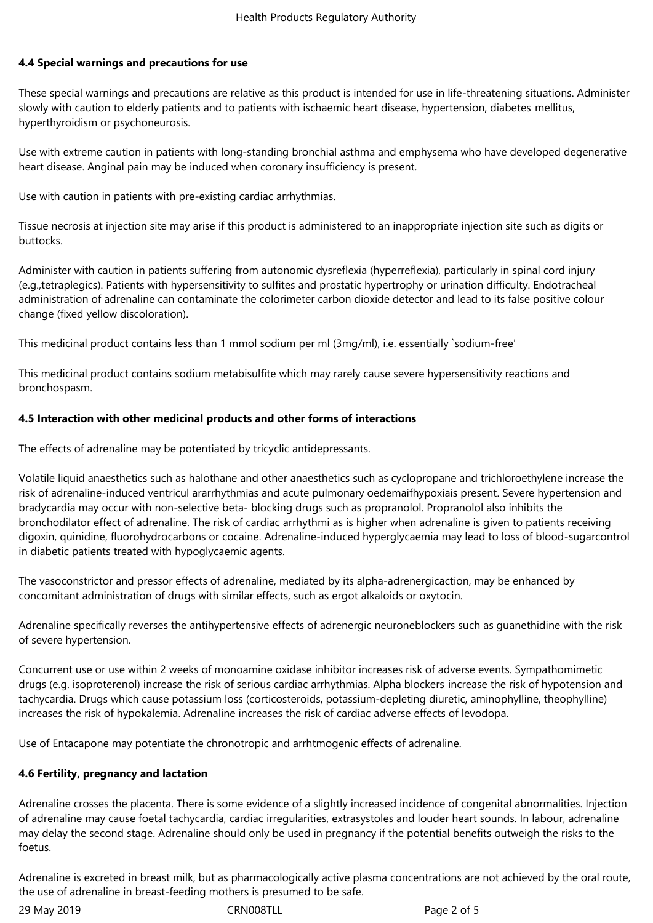## **4.4 Special warnings and precautions for use**

These special warnings and precautions are relative as this product is intended for use in life-threatening situations. Administer slowly with caution to elderly patients and to patients with ischaemic heart disease, hypertension, diabetes mellitus, hyperthyroidism or psychoneurosis.

Use with extreme caution in patients with long-standing bronchial asthma and emphysema who have developed degenerative heart disease. Anginal pain may be induced when coronary insufficiency is present.

Use with caution in patients with pre-existing cardiac arrhythmias.

Tissue necrosis at injection site may arise if this product is administered to an inappropriate injection site such as digits or buttocks.

Administer with caution in patients suffering from autonomic dysreflexia (hyperreflexia), particularly in spinal cord injury (e.g.,tetraplegics). Patients with hypersensitivity to sulfites and prostatic hypertrophy or urination difficulty. Endotracheal administration of adrenaline can contaminate the colorimeter carbon dioxide detector and lead to its false positive colour change (fixed yellow discoloration).

This medicinal product contains less than 1 mmol sodium per ml (3mg/ml), i.e. essentially `sodium-free'

This medicinal product contains sodium metabisulfite which may rarely cause severe hypersensitivity reactions and bronchospasm.

## **4.5 Interaction with other medicinal products and other forms of interactions**

The effects of adrenaline may be potentiated by tricyclic antidepressants.

Volatile liquid anaesthetics such as halothane and other anaesthetics such as cyclopropane and trichloroethylene increase the risk of adrenaline-induced ventricul ararrhythmias and acute pulmonary oedemaifhypoxiais present. Severe hypertension and bradycardia may occur with non-selective beta- blocking drugs such as propranolol. Propranolol also inhibits the bronchodilator effect of adrenaline. The risk of cardiac arrhythmi as is higher when adrenaline is given to patients receiving digoxin, quinidine, fluorohydrocarbons or cocaine. Adrenaline-induced hyperglycaemia may lead to loss of blood-sugarcontrol in diabetic patients treated with hypoglycaemic agents.

The vasoconstrictor and pressor effects of adrenaline, mediated by its alpha-adrenergicaction, may be enhanced by concomitant administration of drugs with similar effects, such as ergot alkaloids or oxytocin.

Adrenaline specifically reverses the antihypertensive effects of adrenergic neuroneblockers such as guanethidine with the risk of severe hypertension.

Concurrent use or use within 2 weeks of monoamine oxidase inhibitor increases risk of adverse events. Sympathomimetic drugs (e.g. isoproterenol) increase the risk of serious cardiac arrhythmias. Alpha blockers increase the risk of hypotension and tachycardia. Drugs which cause potassium loss (corticosteroids, potassium-depleting diuretic, aminophylline, theophylline) increases the risk of hypokalemia. Adrenaline increases the risk of cardiac adverse effects of levodopa.

Use of Entacapone may potentiate the chronotropic and arrhtmogenic effects of adrenaline.

## **4.6 Fertility, pregnancy and lactation**

Adrenaline crosses the placenta. There is some evidence of a slightly increased incidence of congenital abnormalities. Injection of adrenaline may cause foetal tachycardia, cardiac irregularities, extrasystoles and louder heart sounds. In labour, adrenaline may delay the second stage. Adrenaline should only be used in pregnancy if the potential benefits outweigh the risks to the foetus.

Adrenaline is excreted in breast milk, but as pharmacologically active plasma concentrations are not achieved by the oral route, the use of adrenaline in breast-feeding mothers is presumed to be safe.

29 May 2019 CRN008TLL Page 2 of 5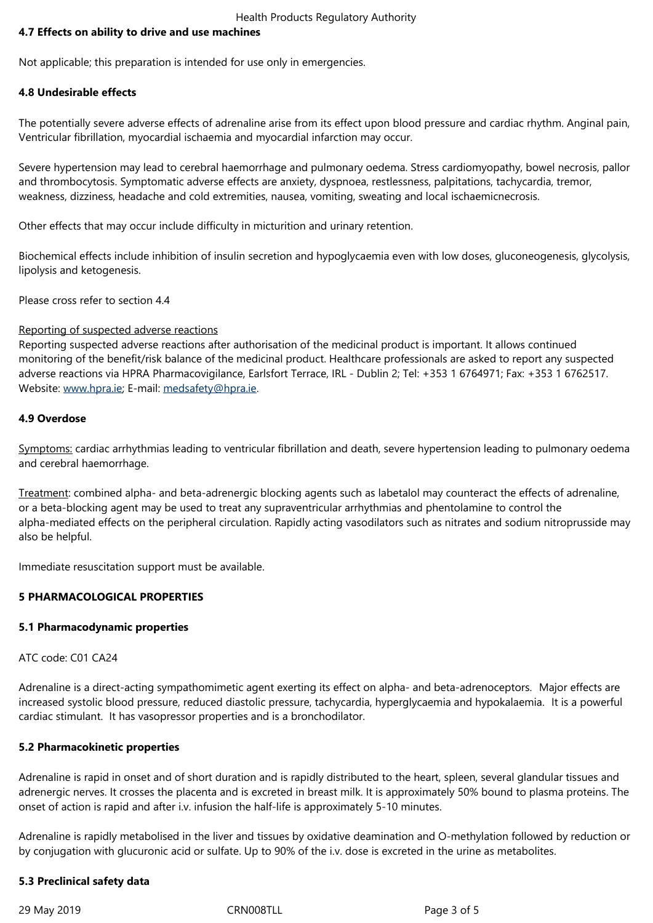Not applicable; this preparation is intended for use only in emergencies.

## **4.8 Undesirable effects**

The potentially severe adverse effects of adrenaline arise from its effect upon blood pressure and cardiac rhythm. Anginal pain, Ventricular fibrillation, myocardial ischaemia and myocardial infarction may occur.

Severe hypertension may lead to cerebral haemorrhage and pulmonary oedema. Stress cardiomyopathy, bowel necrosis, pallor and thrombocytosis. Symptomatic adverse effects are anxiety, dyspnoea, restlessness, palpitations, tachycardia, tremor, weakness, dizziness, headache and cold extremities, nausea, vomiting, sweating and local ischaemicnecrosis.

Other effects that may occur include difficulty in micturition and urinary retention.

Biochemical effects include inhibition of insulin secretion and hypoglycaemia even with low doses, gluconeogenesis, glycolysis, lipolysis and ketogenesis.

Please cross refer to section 4.4

#### Reporting of suspected adverse reactions

Reporting suspected adverse reactions after authorisation of the medicinal product is important. It allows continued monitoring of the benefit/risk balance of the medicinal product. Healthcare professionals are asked to report any suspected adverse reactions via HPRA Pharmacovigilance, Earlsfort Terrace, IRL - Dublin 2; Tel: +353 1 6764971; Fax: +353 1 6762517. Website: www.hpra.ie; E-mail: medsafety@hpra.ie.

## **4.9 Overdose**

Symptoms: [cardiac arr](http://www.hpra.ie/)hythmi[as leading to ventric](mailto:medsafety@hpra.ie)ular fibrillation and death, severe hypertension leading to pulmonary oedema and cerebral haemorrhage.

Treatment: combined alpha- and beta-adrenergic blocking agents such as labetalol may counteract the effects of adrenaline, or a beta-blocking agent may be used to treat any supraventricular arrhythmias and phentolamine to control the alpha-mediated effects on the peripheral circulation. Rapidly acting vasodilators such as nitrates and sodium nitroprusside may also be helpful.

Immediate resuscitation support must be available.

## **5 PHARMACOLOGICAL PROPERTIES**

## **5.1 Pharmacodynamic properties**

ATC code: C01 CA24

Adrenaline is a direct-acting sympathomimetic agent exerting its effect on alpha- and beta-adrenoceptors. Major effects are increased systolic blood pressure, reduced diastolic pressure, tachycardia, hyperglycaemia and hypokalaemia. It is a powerful cardiac stimulant. It has vasopressor properties and is a bronchodilator.

#### **5.2 Pharmacokinetic properties**

Adrenaline is rapid in onset and of short duration and is rapidly distributed to the heart, spleen, several glandular tissues and adrenergic nerves. It crosses the placenta and is excreted in breast milk. It is approximately 50% bound to plasma proteins. The onset of action is rapid and after i.v. infusion the half-life is approximately 5-10 minutes.

Adrenaline is rapidly metabolised in the liver and tissues by oxidative deamination and O-methylation followed by reduction or by conjugation with glucuronic acid or sulfate. Up to 90% of the i.v. dose is excreted in the urine as metabolites.

## **5.3 Preclinical safety data**

29 May 2019 **CRNOOSTLL** 29 May 2019 **Page 3 of 5**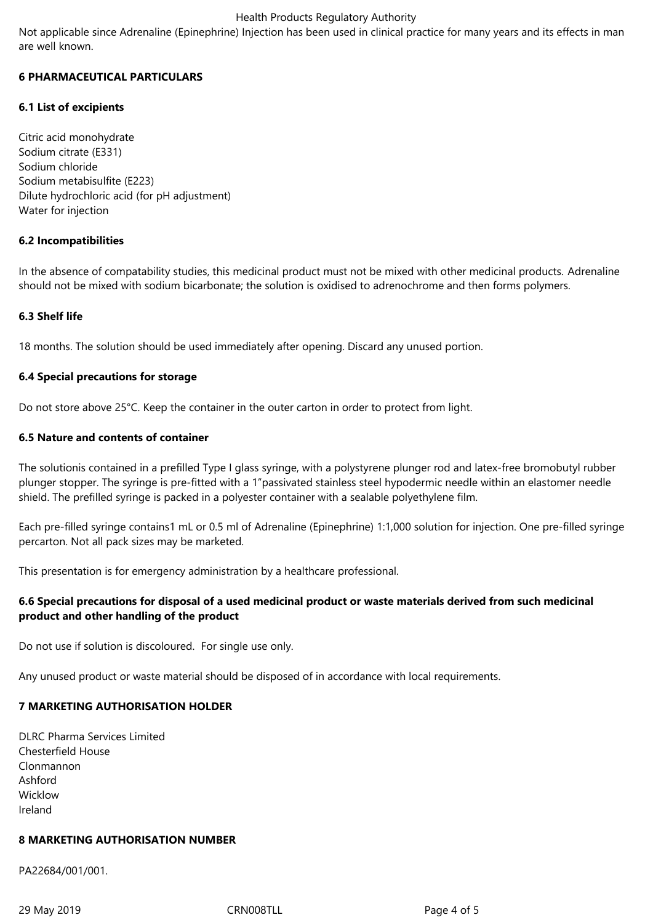## Health Products Regulatory Authority

Not applicable since Adrenaline (Epinephrine) Injection has been used in clinical practice for many years and its effects in man are well known.

## **6 PHARMACEUTICAL PARTICULARS**

## **6.1 List of excipients**

Citric acid monohydrate Sodium citrate (E331) Sodium chloride Sodium metabisulfite (E223) Dilute hydrochloric acid (for pH adjustment) Water for injection

## **6.2 Incompatibilities**

In the absence of compatability studies, this medicinal product must not be mixed with other medicinal products. Adrenaline should not be mixed with sodium bicarbonate; the solution is oxidised to adrenochrome and then forms polymers.

## **6.3 Shelf life**

18 months. The solution should be used immediately after opening. Discard any unused portion.

## **6.4 Special precautions for storage**

Do not store above 25°C. Keep the container in the outer carton in order to protect from light.

## **6.5 Nature and contents of container**

The solutionis contained in a prefilled Type I glass syringe, with a polystyrene plunger rod and latex-free bromobutyl rubber plunger stopper. The syringe is pre-fitted with a 1"passivated stainless steel hypodermic needle within an elastomer needle shield. The prefilled syringe is packed in a polyester container with a sealable polyethylene film.

Each pre-filled syringe contains1 mL or 0.5 ml of Adrenaline (Epinephrine) 1:1,000 solution for injection. One pre-filled syringe percarton. Not all pack sizes may be marketed.

This presentation is for emergency administration by a healthcare professional.

## **6.6 Special precautions for disposal of a used medicinal product or waste materials derived from such medicinal product and other handling of the product**

Do not use if solution is discoloured. For single use only.

Any unused product or waste material should be disposed of in accordance with local requirements.

## **7 MARKETING AUTHORISATION HOLDER**

DLRC Pharma Services Limited Chesterfield House Clonmannon Ashford Wicklow Ireland

# **8 MARKETING AUTHORISATION NUMBER**

PA22684/001/001.

29 May 2019 **CRNOOSTLL** 29 May 2019